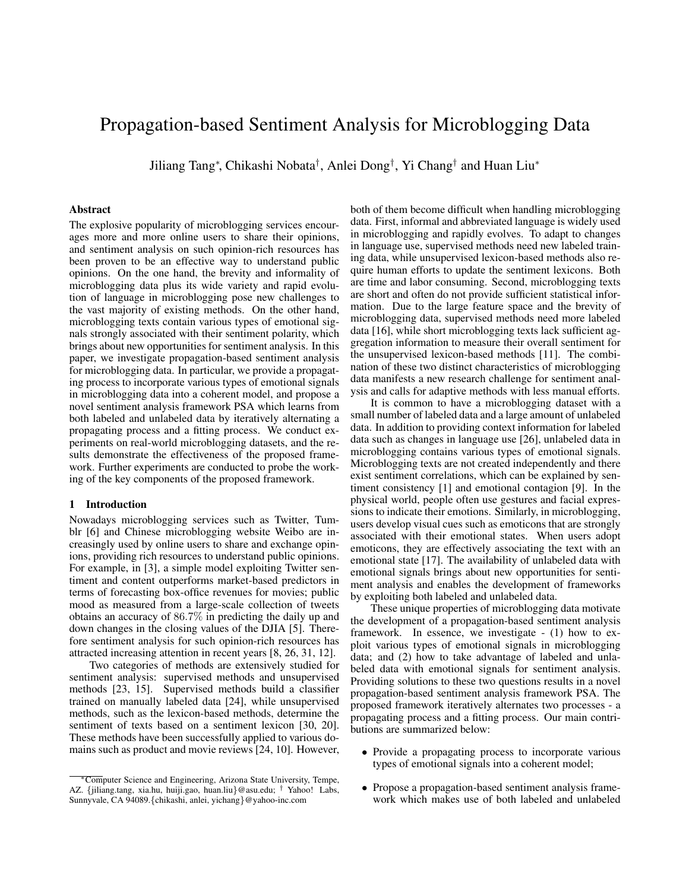# Propagation-based Sentiment Analysis for Microblogging Data

Jiliang Tang<sup>∗</sup> , Chikashi Nobata† , Anlei Dong† , Yi Chang† and Huan Liu<sup>∗</sup>

#### **Abstract**

The explosive popularity of microblogging services encourages more and more online users to share their opinions, and sentiment analysis on such opinion-rich resources has been proven to be an effective way to understand public opinions. On the one hand, the brevity and informality of microblogging data plus its wide variety and rapid evolution of language in microblogging pose new challenges to the vast majority of existing methods. On the other hand, microblogging texts contain various types of emotional signals strongly associated with their sentiment polarity, which brings about new opportunities for sentiment analysis. In this paper, we investigate propagation-based sentiment analysis for microblogging data. In particular, we provide a propagating process to incorporate various types of emotional signals in microblogging data into a coherent model, and propose a novel sentiment analysis framework PSA which learns from both labeled and unlabeled data by iteratively alternating a propagating process and a fitting process. We conduct experiments on real-world microblogging datasets, and the results demonstrate the effectiveness of the proposed framework. Further experiments are conducted to probe the working of the key components of the proposed framework.

#### **1 Introduction**

Nowadays microblogging services such as Twitter, Tumblr [6] and Chinese microblogging website Weibo are increasingly used by online users to share and exchange opinions, providing rich resources to understand public opinions. For example, in [3], a simple model exploiting Twitter sentiment and content outperforms market-based predictors in terms of forecasting box-office revenues for movies; public mood as measured from a large-scale collection of tweets obtains an accuracy of 86.7% in predicting the daily up and down changes in the closing values of the DJIA [5]. Therefore sentiment analysis for such opinion-rich resources has attracted increasing attention in recent years [8, 26, 31, 12].

Two categories of methods are extensively studied for sentiment analysis: supervised methods and unsupervised methods [23, 15]. Supervised methods build a classifier trained on manually labeled data [24], while unsupervised methods, such as the lexicon-based methods, determine the sentiment of texts based on a sentiment lexicon [30, 20]. These methods have been successfully applied to various domains such as product and movie reviews [24, 10]. However,

both of them become difficult when handling microblogging data. First, informal and abbreviated language is widely used in microblogging and rapidly evolves. To adapt to changes in language use, supervised methods need new labeled training data, while unsupervised lexicon-based methods also require human efforts to update the sentiment lexicons. Both are time and labor consuming. Second, microblogging texts are short and often do not provide sufficient statistical information. Due to the large feature space and the brevity of microblogging data, supervised methods need more labeled data [16], while short microblogging texts lack sufficient aggregation information to measure their overall sentiment for the unsupervised lexicon-based methods [11]. The combination of these two distinct characteristics of microblogging data manifests a new research challenge for sentiment analysis and calls for adaptive methods with less manual efforts.

It is common to have a microblogging dataset with a small number of labeled data and a large amount of unlabeled data. In addition to providing context information for labeled data such as changes in language use [26], unlabeled data in microblogging contains various types of emotional signals. Microblogging texts are not created independently and there exist sentiment correlations, which can be explained by sentiment consistency [1] and emotional contagion [9]. In the physical world, people often use gestures and facial expressions to indicate their emotions. Similarly, in microblogging, users develop visual cues such as emoticons that are strongly associated with their emotional states. When users adopt emoticons, they are effectively associating the text with an emotional state [17]. The availability of unlabeled data with emotional signals brings about new opportunities for sentiment analysis and enables the development of frameworks by exploiting both labeled and unlabeled data.

These unique properties of microblogging data motivate the development of a propagation-based sentiment analysis framework. In essence, we investigate - (1) how to exploit various types of emotional signals in microblogging data; and (2) how to take advantage of labeled and unlabeled data with emotional signals for sentiment analysis. Providing solutions to these two questions results in a novel propagation-based sentiment analysis framework PSA. The proposed framework iteratively alternates two processes - a propagating process and a fitting process. Our main contributions are summarized below:

- Provide a propagating process to incorporate various types of emotional signals into a coherent model;
- Propose a propagation-based sentiment analysis framework which makes use of both labeled and unlabeled

<sup>∗</sup>Computer Science and Engineering, Arizona State University, Tempe, AZ. {jiliang.tang, xia.hu, huiji.gao, huan.liu}@asu.edu; † Yahoo! Labs, Sunnyvale, CA 94089.{chikashi, anlei, yichang}@yahoo-inc.com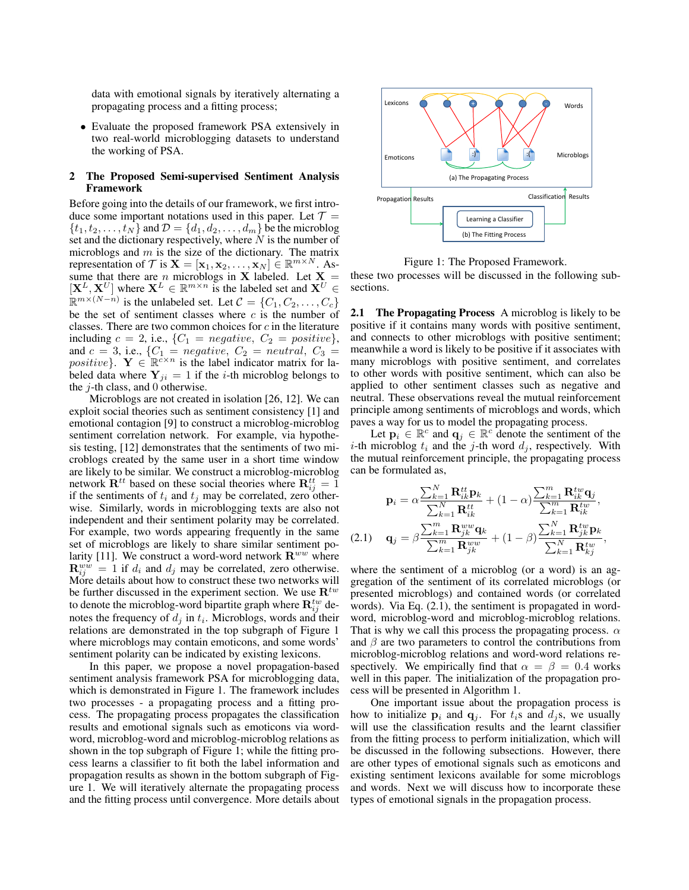data with emotional signals by iteratively alternating a propagating process and a fitting process;

• Evaluate the proposed framework PSA extensively in two real-world microblogging datasets to understand the working of PSA.

# **2 The Proposed Semi-supervised Sentiment Analysis Framework**

Before going into the details of our framework, we first introduce some important notations used in this paper. Let  $\mathcal{T} =$  $\{t_1, t_2, \ldots, t_N\}$  and  $\mathcal{D} = \{d_1, d_2, \ldots, d_m\}$  be the microblog set and the dictionary respectively, where  $N$  is the number of microblogs and  $m$  is the size of the dictionary. The matrix representation of  $T$  is  $\mathbf{X} = [\mathbf{x}_1, \mathbf{x}_2, ..., \mathbf{x}_N] \in \mathbb{R}^{m \times N}$ . Assume that there are n microblogs in X labeled. Let  $X =$  $[\mathbf{X}^{L}, \mathbf{X}^{U}]$  where  $\mathbf{X}^{L} \in \mathbb{R}^{m \times n}$  is the labeled set and  $\mathbf{X}^{U} \in$  $\mathbb{R}^{m \times (N-n)}$  is the unlabeled set. Let  $\mathcal{C} = \{C_1, C_2, \ldots, C_c\}$ be the set of sentiment classes where  $c$  is the number of classes. There are two common choices for  $c$  in the literature including  $c = 2$ , i.e.,  $\{C_1 = negative, C_2 = positive\},\$ and  $c = 3$ , i.e.,  $\{C_1 = negative, C_2 = neutral, C_3 =$ positive}.  $\mathbf{Y} \in \mathbb{R}^{c \times n}$  is the label indicator matrix for labeled data where  $Y_{ji} = 1$  if the *i*-th microblog belongs to the  $j$ -th class, and 0 otherwise.

Microblogs are not created in isolation [26, 12]. We can exploit social theories such as sentiment consistency [1] and emotional contagion [9] to construct a microblog-microblog sentiment correlation network. For example, via hypothesis testing, [12] demonstrates that the sentiments of two microblogs created by the same user in a short time window are likely to be similar. We construct a microblog-microblog network  $\mathbf{R}^{tt}$  based on these social theories where  $\mathbf{R}_{ij}^{tt} = 1$ if the sentiments of  $t_i$  and  $t_j$  may be correlated, zero otherwise. Similarly, words in microblogging texts are also not independent and their sentiment polarity may be correlated. For example, two words appearing frequently in the same set of microblogs are likely to share similar sentiment polarity [11]. We construct a word-word network  $\mathbf{R}^{ww}$  where  $\mathbf{R}_{ij}^{ww} = 1$  if  $d_i$  and  $d_j$  may be correlated, zero otherwise. More details about how to construct these two networks will be further discussed in the experiment section. We use  $\mathbf{R}^{tw}$ to denote the microblog-word bipartite graph where  $\mathbf{R}_{ij}^{tw}$  denotes the frequency of  $d_j$  in  $t_i$ . Microblogs, words and their relations are demonstrated in the top subgraph of Figure 1 where microblogs may contain emoticons, and some words' sentiment polarity can be indicated by existing lexicons.

In this paper, we propose a novel propagation-based sentiment analysis framework PSA for microblogging data, which is demonstrated in Figure 1. The framework includes two processes - a propagating process and a fitting process. The propagating process propagates the classification results and emotional signals such as emoticons via wordword, microblog-word and microblog-microblog relations as shown in the top subgraph of Figure 1; while the fitting process learns a classifier to fit both the label information and propagation results as shown in the bottom subgraph of Figure 1. We will iteratively alternate the propagating process and the fitting process until convergence. More details about



Figure 1: The Proposed Framework.

these two processes will be discussed in the following subsections.

**2.1 The Propagating Process** A microblog is likely to be positive if it contains many words with positive sentiment, and connects to other microblogs with positive sentiment; meanwhile a word is likely to be positive if it associates with many microblogs with positive sentiment, and correlates to other words with positive sentiment, which can also be applied to other sentiment classes such as negative and neutral. These observations reveal the mutual reinforcement principle among sentiments of microblogs and words, which paves a way for us to model the propagating process.

Let  $\mathbf{p}_i \in \mathbb{R}^c$  and  $\mathbf{q}_j \in \mathbb{R}^c$  denote the sentiment of the *i*-th microblog  $t_i$  and the *j*-th word  $d_j$ , respectively. With the mutual reinforcement principle, the propagating process can be formulated as,

$$
\mathbf{p}_{i} = \alpha \frac{\sum_{k=1}^{N} \mathbf{R}_{ik}^{tt} \mathbf{p}_{k}}{\sum_{k=1}^{N} \mathbf{R}_{ik}^{tt}} + (1 - \alpha) \frac{\sum_{k=1}^{m} \mathbf{R}_{ik}^{tw} \mathbf{q}_{j}}{\sum_{k=1}^{m} \mathbf{R}_{ik}^{tw}},
$$
\n(2.1) 
$$
\mathbf{q}_{j} = \beta \frac{\sum_{k=1}^{m} \mathbf{R}_{jk}^{ww} \mathbf{q}_{k}}{\sum_{k=1}^{m} \mathbf{R}_{jk}^{ww}} + (1 - \beta) \frac{\sum_{k=1}^{N} \mathbf{R}_{jk}^{tw} \mathbf{p}_{k}}{\sum_{k=1}^{N} \mathbf{R}_{kj}^{tw}},
$$

where the sentiment of a microblog (or a word) is an aggregation of the sentiment of its correlated microblogs (or presented microblogs) and contained words (or correlated words). Via Eq. (2.1), the sentiment is propagated in wordword, microblog-word and microblog-microblog relations. That is why we call this process the propagating process.  $\alpha$ and  $\beta$  are two parameters to control the contributions from microblog-microblog relations and word-word relations respectively. We empirically find that  $\alpha = \beta = 0.4$  works well in this paper. The initialization of the propagation process will be presented in Algorithm 1.

One important issue about the propagation process is how to initialize  $p_i$  and  $q_i$ . For  $t_i$ s and  $d_i$ s, we usually will use the classification results and the learnt classifier from the fitting process to perform initialization, which will be discussed in the following subsections. However, there are other types of emotional signals such as emoticons and existing sentiment lexicons available for some microblogs and words. Next we will discuss how to incorporate these types of emotional signals in the propagation process.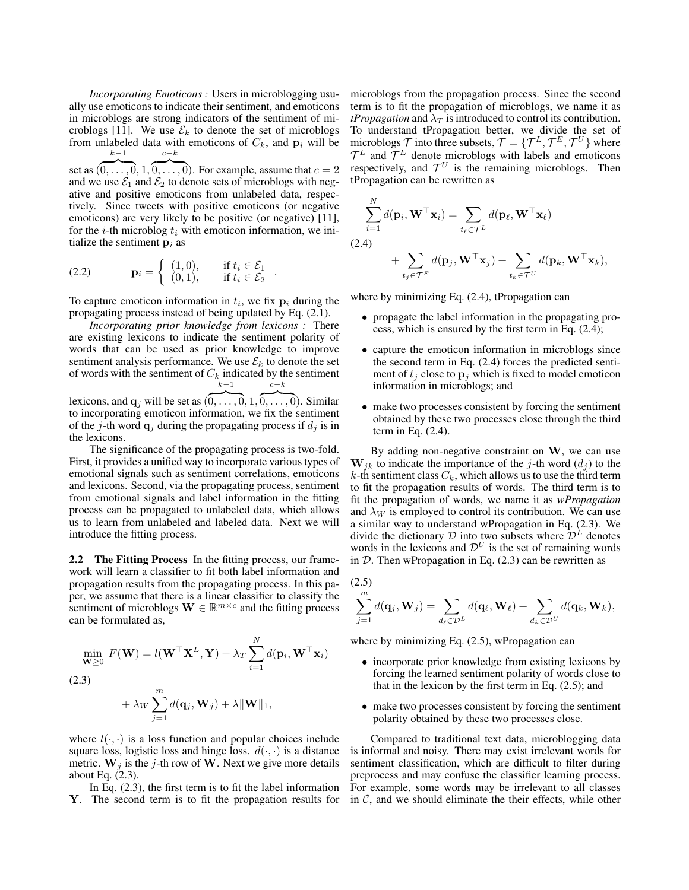*Incorporating Emoticons :* Users in microblogging usually use emoticons to indicate their sentiment, and emoticons in microblogs are strong indicators of the sentiment of microblogs [11]. We use  $\mathcal{E}_k$  to denote the set of microblogs from unlabeled data with emoticons of  $C_k$ , and  $p_i$  will be  $k-1$  $c-k$ 

set as  $\overbrace{(0,\ldots,0,1,0,\ldots,0)}$ . For example, assume that  $c=2$ and we use  $\mathcal{E}_1$  and  $\mathcal{E}_2$  to denote sets of microblogs with negative and positive emoticons from unlabeled data, respectively. Since tweets with positive emoticons (or negative emoticons) are very likely to be positive (or negative) [11], for the *i*-th microblog  $t_i$  with emoticon information, we initialize the sentiment  $p_i$  as

$$
\text{(2.2)} \quad \mathbf{p}_i = \left\{ \begin{array}{ll} (1,0), & \text{if } t_i \in \mathcal{E}_1 \\ (0,1), & \text{if } t_i \in \mathcal{E}_2 \end{array} \right..
$$

To capture emoticon information in  $t_i$ , we fix  $p_i$  during the propagating process instead of being updated by Eq. (2.1).

*Incorporating prior knowledge from lexicons :* There are existing lexicons to indicate the sentiment polarity of words that can be used as prior knowledge to improve sentiment analysis performance. We use  $\mathcal{E}_k$  to denote the set of words with the sentiment of  $C_k$  indicated by the sentiment  $k\!-\!1$  $c-k$ 

lexicons, and  $\mathbf{q}_j$  will be set as  $(0, \ldots, 0, 1, 0, \ldots, 0)$ . Similar to incorporating emoticon information, we fix the sentiment of the j-th word  $\mathbf{q}_j$  during the propagating process if  $d_j$  is in the lexicons.

The significance of the propagating process is two-fold. First, it provides a unified way to incorporate various types of emotional signals such as sentiment correlations, emoticons and lexicons. Second, via the propagating process, sentiment from emotional signals and label information in the fitting process can be propagated to unlabeled data, which allows us to learn from unlabeled and labeled data. Next we will introduce the fitting process.

**2.2 The Fitting Process** In the fitting process, our framework will learn a classifier to fit both label information and propagation results from the propagating process. In this paper, we assume that there is a linear classifier to classify the sentiment of microblogs  $\mathbf{W} \in \mathbb{R}^{m \times c}$  and the fitting process can be formulated as,

$$
\min_{\mathbf{W} \ge 0} F(\mathbf{W}) = l(\mathbf{W}^{\top} \mathbf{X}^{L}, \mathbf{Y}) + \lambda_{T} \sum_{i=1}^{N} d(\mathbf{p}_{i}, \mathbf{W}^{\top} \mathbf{x}_{i})
$$
\n(2.3)\n
$$
+ \lambda_{W} \sum_{j=1}^{m} d(\mathbf{q}_{j}, \mathbf{W}_{j}) + \lambda \|\mathbf{W}\|_{1},
$$

where  $l(\cdot, \cdot)$  is a loss function and popular choices include square loss, logistic loss and hinge loss.  $d(\cdot, \cdot)$  is a distance metric.  $W_i$  is the j-th row of W. Next we give more details about Eq. (2.3).

In Eq. (2.3), the first term is to fit the label information Y. The second term is to fit the propagation results for microblogs from the propagation process. Since the second term is to fit the propagation of microblogs, we name it as *tPropagation* and  $\lambda_T$  is introduced to control its contribution. To understand tPropagation better, we divide the set of microblogs  $\mathcal{T}$  into three subsets,  $\mathcal{T} = \{ \mathcal{T}^L, \mathcal{T}^E, \mathcal{T}^U \}$  where  $\mathcal{T}^L$  and  $\mathcal{T}^E$  denote microblogs with labels and emoticons respectively, and  $\mathcal{T}^U$  is the remaining microblogs. Then tPropagation can be rewritten as

$$
\sum_{i=1}^{N} d(\mathbf{p}_i, \mathbf{W}^{\top} \mathbf{x}_i) = \sum_{t_{\ell} \in \mathcal{T}^L} d(\mathbf{p}_{\ell}, \mathbf{W}^{\top} \mathbf{x}_{\ell})
$$
\n(2.4)\n
$$
+ \sum d(\mathbf{p}_j, \mathbf{W}^{\top} \mathbf{x}_j) + \sum d(\mathbf{p}_k, \mathbf{W}^{\top} \mathbf{x}_k),
$$

where by minimizing Eq. (2.4), tPropagation can

 $t_i \in \mathcal{T}^E$ 

• propagate the label information in the propagating process, which is ensured by the first term in Eq. (2.4);

 $t_k \in \mathcal{T}^L$ 

- capture the emoticon information in microblogs since the second term in Eq. (2.4) forces the predicted sentiment of  $t_j$  close to  $\mathbf{p}_j$  which is fixed to model emoticon information in microblogs; and
- make two processes consistent by forcing the sentiment obtained by these two processes close through the third term in Eq. (2.4).

By adding non-negative constraint on  $W$ , we can use  $W_{jk}$  to indicate the importance of the j-th word  $(d_j)$  to the  $k$ -th sentiment class  $C_k$ , which allows us to use the third term to fit the propagation results of words. The third term is to fit the propagation of words, we name it as *wPropagation* and  $\lambda_W$  is employed to control its contribution. We can use a similar way to understand wPropagation in Eq. (2.3). We divide the dictionary  $D$  into two subsets where  $D<sup>L</sup>$  denotes words in the lexicons and  $\mathcal{D}^{U}$  is the set of remaining words in  $D$ . Then wPropagation in Eq. (2.3) can be rewritten as

(2.5)  

$$
\sum_{j=1}^{m} d(\mathbf{q}_j, \mathbf{W}_j) = \sum_{d_\ell \in \mathcal{D}^L} d(\mathbf{q}_\ell, \mathbf{W}_\ell) + \sum_{d_k \in \mathcal{D}^U} d(\mathbf{q}_k, \mathbf{W}_k),
$$

where by minimizing Eq. (2.5), wPropagation can

- incorporate prior knowledge from existing lexicons by forcing the learned sentiment polarity of words close to that in the lexicon by the first term in Eq. (2.5); and
- make two processes consistent by forcing the sentiment polarity obtained by these two processes close.

Compared to traditional text data, microblogging data is informal and noisy. There may exist irrelevant words for sentiment classification, which are difficult to filter during preprocess and may confuse the classifier learning process. For example, some words may be irrelevant to all classes in  $\mathcal{C}$ , and we should eliminate the their effects, while other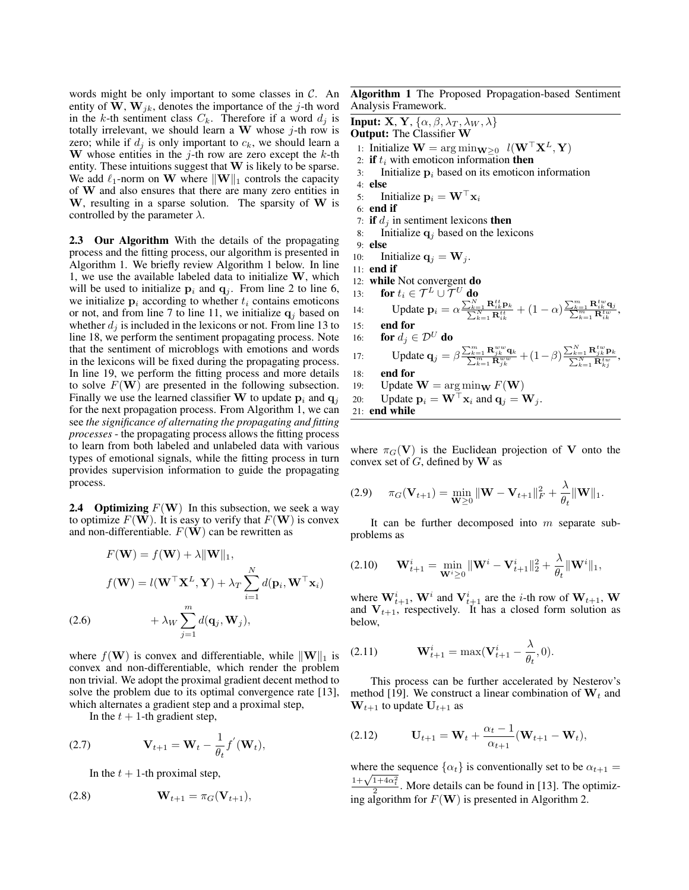words might be only important to some classes in  $\mathcal{C}$ . An entity of W,  $W_{ik}$ , denotes the importance of the j-th word in the k-th sentiment class  $C_k$ . Therefore if a word  $d_j$  is totally irrelevant, we should learn a W whose  $j$ -th row is zero; while if  $d_i$  is only important to  $c_k$ , we should learn a W whose entities in the  $j$ -th row are zero except the  $k$ -th entity. These intuitions suggest that W is likely to be sparse. We add  $\ell_1$ -norm on W where  $\|\mathbf{W}\|_1$  controls the capacity of W and also ensures that there are many zero entities in W, resulting in a sparse solution. The sparsity of W is controlled by the parameter  $\lambda$ .

**2.3 Our Algorithm** With the details of the propagating process and the fitting process, our algorithm is presented in Algorithm 1. We briefly review Algorithm 1 below. In line 1, we use the available labeled data to initialize  $W$ , which will be used to initialize  $p_i$  and  $q_i$ . From line 2 to line 6, we initialize  $p_i$  according to whether  $t_i$  contains emoticons or not, and from line 7 to line 11, we initialize  $q_i$  based on whether  $d_i$  is included in the lexicons or not. From line 13 to line 18, we perform the sentiment propagating process. Note that the sentiment of microblogs with emotions and words in the lexicons will be fixed during the propagating process. In line 19, we perform the fitting process and more details to solve  $F(\mathbf{W})$  are presented in the following subsection. Finally we use the learned classifier W to update  $p_i$  and  $q_j$ for the next propagation process. From Algorithm 1, we can see *the significance of alternating the propagating and fitting processes* - the propagating process allows the fitting process to learn from both labeled and unlabeled data with various types of emotional signals, while the fitting process in turn provides supervision information to guide the propagating process.

**2.4 Optimizing**  $F(W)$  In this subsection, we seek a way to optimize  $F(\mathbf{W})$ . It is easy to verify that  $F(\mathbf{W})$  is convex and non-differentiable.  $F(\mathbf{W})$  can be rewritten as

$$
F(\mathbf{W}) = f(\mathbf{W}) + \lambda \|\mathbf{W}\|_1,
$$
  

$$
f(\mathbf{W}) = l(\mathbf{W}^\top \mathbf{X}^L, \mathbf{Y}) + \lambda_T \sum_{i=1}^N d(\mathbf{p}_i, \mathbf{W}^\top \mathbf{x}_i)
$$
  
(2.6) 
$$
+ \lambda_W \sum_{j=1}^m d(\mathbf{q}_j, \mathbf{W}_j),
$$

where  $f(\mathbf{W})$  is convex and differentiable, while  $\|\mathbf{W}\|_1$  is convex and non-differentiable, which render the problem non trivial. We adopt the proximal gradient decent method to solve the problem due to its optimal convergence rate [13], which alternates a gradient step and a proximal step,

In the  $t + 1$ -th gradient step,

(2.7) 
$$
\mathbf{V}_{t+1} = \mathbf{W}_t - \frac{1}{\theta_t} f'(\mathbf{W}_t),
$$

In the  $t + 1$ -th proximal step,

$$
\mathbf{W}_{t+1} = \pi_G(\mathbf{V}_{t+1}),
$$

**Algorithm 1** The Proposed Propagation-based Sentiment Analysis Framework.

**Input: X**, **Y**,  $\{\alpha, \beta, \lambda_T, \lambda_W, \lambda\}$ **Output:** The Classifier W 1: Initialize  $\mathbf{W} = \arg \min_{\mathbf{W} \geq 0} l(\mathbf{W}^\top \mathbf{X}^L, \mathbf{Y})$ 2: **if**  $t_i$  with emoticon information **then**<br>3: Initialize  $\mathbf{p}_i$  based on its emoticon Initialize  $p_i$  based on its emoticon information 4: **else** 5: Initialize  $\mathbf{p}_i = \mathbf{W}^\top \mathbf{x}_i$ 6: **end if** 7: **if**  $d_j$  in sentiment lexicons **then**<br>8: Initialize  $q_i$  based on the lexi Initialize  $q_i$  based on the lexicons 9: **else** 10: Initialize  $\mathbf{q}_j = \mathbf{W}_j$ . 11: **end if** 12: **while** Not convergent **do** 13: **for**  $t_i \in \mathcal{T}^L \cup \mathcal{T}^U$  **do** 14: Update  $\mathbf{p}_i = \alpha \frac{\sum_{k=1}^N \mathbf{R}_{ik}^{tt} \mathbf{p}_k}{\sum_{k=1}^N \mathbf{R}_{ik}^{tt}} + (1 - \alpha) \frac{\sum_{k=1}^m \mathbf{R}_{ik}^{tw} \mathbf{q}_j}{\sum_{k=1}^m \mathbf{R}_{ik}^{tw}},$ 15: **end for** 16: **for**  $d_j \in \mathcal{D}^U$  **do** 17: Update  $\mathbf{q}_j = \beta \frac{\sum_{k=1}^m \mathbf{R}_{jk}^{ww} \mathbf{q}_k}{\sum_{k=1}^m \mathbf{R}_{jk}^{ww}} + (1-\beta) \frac{\sum_{k=1}^N \mathbf{R}_{jk}^{tw} \mathbf{p}_k}{\sum_{k=1}^N \mathbf{R}_{kj}^{tw}},$ 18: **end for** 19: Update  $\mathbf{W} = \arg \min_{\mathbf{W}} F(\mathbf{W})$ 20: Update  $\mathbf{p}_i = \mathbf{W}^\top \mathbf{x}_i$  and  $\mathbf{q}_i = \mathbf{W}_i$ . 21: **end while**

where  $\pi_G(V)$  is the Euclidean projection of V onto the convex set of  $G$ , defined by  $W$  as

(2.9) 
$$
\pi_G(\mathbf{V}_{t+1}) = \min_{\mathbf{W} \geq 0} \|\mathbf{W} - \mathbf{V}_{t+1}\|_F^2 + \frac{\lambda}{\theta_t} \|\mathbf{W}\|_1.
$$

It can be further decomposed into  $m$  separate subproblems as

$$
(2.10) \qquad \mathbf{W}_{t+1}^i = \min_{\mathbf{W}^i \geq 0} \|\mathbf{W}^i - \mathbf{V}_{t+1}^i\|_2^2 + \frac{\lambda}{\theta_t} \|\mathbf{W}^i\|_1,
$$

where  $\mathbf{W}_{t+1}^i$ ,  $\mathbf{W}^i$  and  $\mathbf{V}_{t+1}^i$  are the *i*-th row of  $\mathbf{W}_{t+1}$ ,  $\mathbf{W}$ and  $V_{t+1}$ , respectively. It has a closed form solution as below,

(2.11) 
$$
\mathbf{W}_{t+1}^i = \max(\mathbf{V}_{t+1}^i - \frac{\lambda}{\theta_t}, 0).
$$

This process can be further accelerated by Nesterov's method [19]. We construct a linear combination of  $W_t$  and  $W_{t+1}$  to update  $U_{t+1}$  as

(2.12) 
$$
\mathbf{U}_{t+1} = \mathbf{W}_t + \frac{\alpha_t - 1}{\alpha_{t+1}} (\mathbf{W}_{t+1} - \mathbf{W}_t),
$$

where the sequence  $\{\alpha_t\}$  is conventionally set to be  $\alpha_{t+1} =$  $\frac{1+\sqrt{1+4\alpha_t^2}}{2}$ . More details can be found in [13]. The optimizing algorithm for  $F(\mathbf{W})$  is presented in Algorithm 2.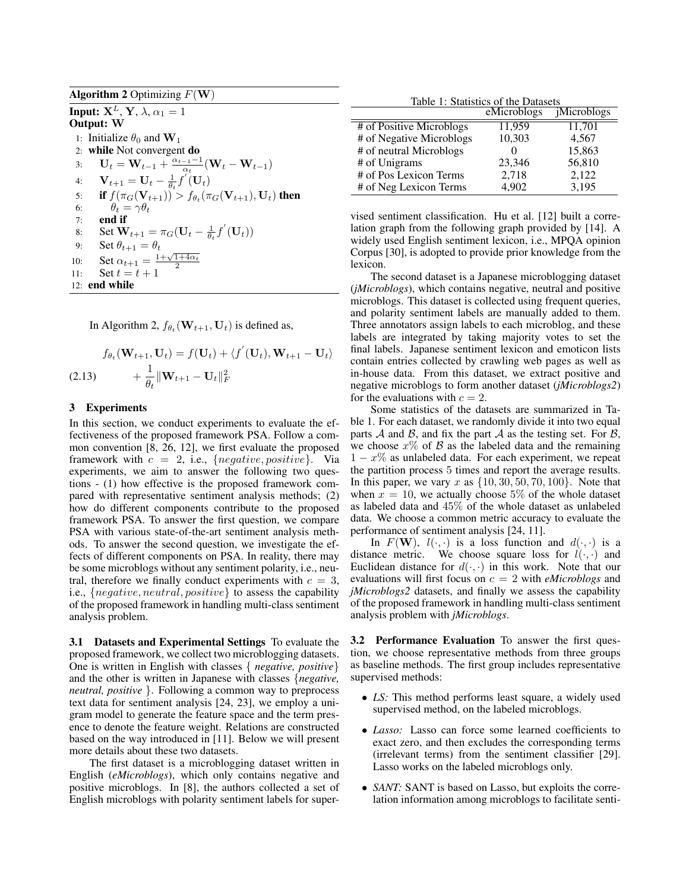**Algorithm 2** Optimizing  $F(\mathbf{W})$ **Input:**  $X^L$ ,  $Y$ ,  $\lambda$ ,  $\alpha_1 = 1$ **Output:** W 1: Initialize  $\theta_0$  and  $\mathbf{W}_1$ 2: **while** Not convergent **do** 3:  $\mathbf{U}_t = \mathbf{W}_{t-1} + \frac{\alpha_{t-1}-1}{\alpha_t} (\mathbf{W}_t - \mathbf{W}_{t-1})$ 4:  $\mathbf{V}_{t+1} = \mathbf{U}_{t} - \frac{1}{\theta_{t}} \overrightarrow{f}(\mathbf{U}_{t})$ 5: **if**  $f(\pi_G(\mathbf{V}_{t+1})) > f_{\theta_t}(\pi_G(\mathbf{V}_{t+1}), \mathbf{U}_t)$  then 6:  $\theta_t = \gamma \theta_t$ 7: **end if** 8: Set  $\mathbf{W}_{t+1} = \pi_G(\mathbf{U}_t - \frac{1}{\theta_t}f'(\mathbf{U}_t))$ 9: Set  $\theta_{t+1} = \theta_t$ 10: Set  $\alpha_{t+1} = \frac{1 + \sqrt{1 + 4\alpha_t}}{2}$ <br>11: Set  $t = t + 1$ 12: **end while**

In Algorithm 2,  $f_{\theta_t}(\mathbf{W}_{t+1}, \mathbf{U}_t)$  is defined as,

$$
f_{\theta_t}(\mathbf{W}_{t+1}, \mathbf{U}_t) = f(\mathbf{U}_t) + \langle f'(\mathbf{U}_t), \mathbf{W}_{t+1} - \mathbf{U}_t \rangle
$$
  
(2.13) 
$$
+ \frac{1}{\theta_t} ||\mathbf{W}_{t+1} - \mathbf{U}_t||_F^2
$$

### **3 Experiments**

In this section, we conduct experiments to evaluate the effectiveness of the proposed framework PSA. Follow a common convention [8, 26, 12], we first evaluate the proposed framework with  $c = 2$ , i.e., {negative, positive}. Via experiments, we aim to answer the following two questions - (1) how effective is the proposed framework compared with representative sentiment analysis methods; (2) how do different components contribute to the proposed framework PSA. To answer the first question, we compare PSA with various state-of-the-art sentiment analysis methods. To answer the second question, we investigate the effects of different components on PSA. In reality, there may be some microblogs without any sentiment polarity, i.e., neutral, therefore we finally conduct experiments with  $c = 3$ , i.e., {negative, neutral, positive} to assess the capability of the proposed framework in handling multi-class sentiment analysis problem.

**3.1 Datasets and Experimental Settings** To evaluate the proposed framework, we collect two microblogging datasets. One is written in English with classes { *negative, positive*} and the other is written in Japanese with classes {*negative, neutral, positive* }. Following a common way to preprocess text data for sentiment analysis [24, 23], we employ a unigram model to generate the feature space and the term presence to denote the feature weight. Relations are constructed based on the way introduced in [11]. Below we will present more details about these two datasets.

The first dataset is a microblogging dataset written in English (*eMicroblogs*), which only contains negative and positive microblogs. In [8], the authors collected a set of English microblogs with polarity sentiment labels for super-

Table 1: Statistics of the Datasets

ł,

|                          | eMicroblogs | <i>j</i> Microblogs |
|--------------------------|-------------|---------------------|
| # of Positive Microblogs | 11,959      | 11,701              |
| # of Negative Microblogs | 10,303      | 4,567               |
| # of neutral Microblogs  |             | 15,863              |
| # of Unigrams            | 23,346      | 56,810              |
| # of Pos Lexicon Terms   | 2,718       | 2,122               |
| # of Neg Lexicon Terms   | 4.902       | 3,195               |

vised sentiment classification. Hu et al. [12] built a correlation graph from the following graph provided by [14]. A widely used English sentiment lexicon, i.e., MPQA opinion Corpus [30], is adopted to provide prior knowledge from the lexicon.

The second dataset is a Japanese microblogging dataset (*jMicroblogs*), which contains negative, neutral and positive microblogs. This dataset is collected using frequent queries, and polarity sentiment labels are manually added to them. Three annotators assign labels to each microblog, and these labels are integrated by taking majority votes to set the final labels. Japanese sentiment lexicon and emoticon lists contain entries collected by crawling web pages as well as in-house data. From this dataset, we extract positive and negative microblogs to form another dataset (*jMicroblogs2*) for the evaluations with  $c = 2$ .

Some statistics of the datasets are summarized in Table 1. For each dataset, we randomly divide it into two equal parts  $A$  and  $B$ , and fix the part  $A$  as the testing set. For  $B$ , we choose  $x\%$  of B as the labeled data and the remaining  $1 - x\%$  as unlabeled data. For each experiment, we repeat the partition process 5 times and report the average results. In this paper, we vary x as  $\{10, 30, 50, 70, 100\}$ . Note that when  $x = 10$ , we actually choose 5% of the whole dataset as labeled data and 45% of the whole dataset as unlabeled data. We choose a common metric accuracy to evaluate the performance of sentiment analysis [24, 11].

In  $F(\mathbf{W})$ ,  $l(\cdot, \cdot)$  is a loss function and  $d(\cdot, \cdot)$  is a distance metric. We choose square loss for  $l(\cdot, \cdot)$  and Euclidean distance for  $d(\cdot, \cdot)$  in this work. Note that our evaluations will first focus on c = 2 with *eMicroblogs* and *jMicroblogs2* datasets, and finally we assess the capability of the proposed framework in handling multi-class sentiment analysis problem with *jMicroblogs*.

**3.2 Performance Evaluation** To answer the first question, we choose representative methods from three groups as baseline methods. The first group includes representative supervised methods:

- *LS:* This method performs least square, a widely used supervised method, on the labeled microblogs.
- *Lasso:* Lasso can force some learned coefficients to exact zero, and then excludes the corresponding terms (irrelevant terms) from the sentiment classifier [29]. Lasso works on the labeled microblogs only.
- *SANT:* SANT is based on Lasso, but exploits the correlation information among microblogs to facilitate senti-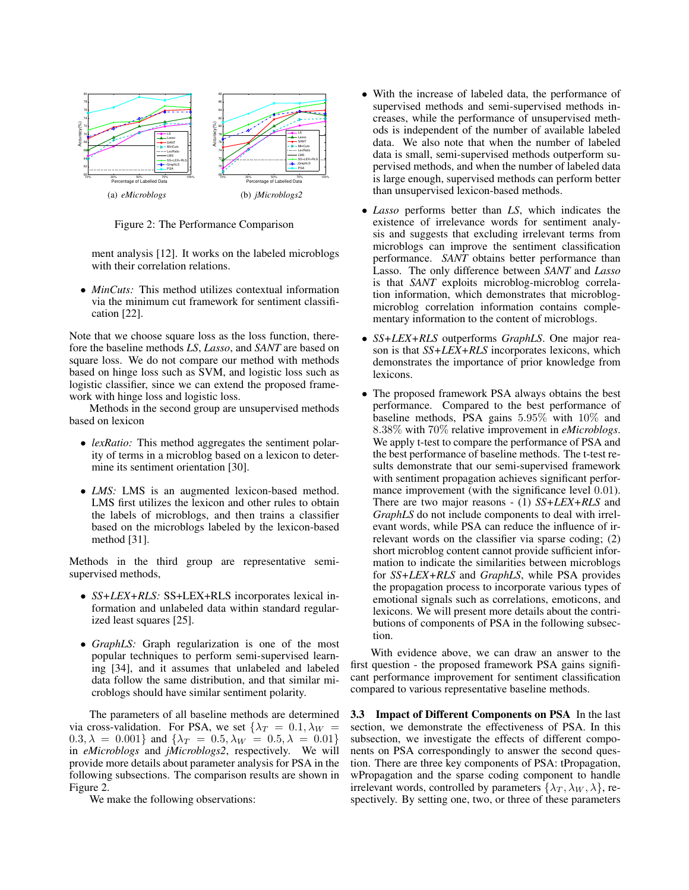

Figure 2: The Performance Comparison

ment analysis [12]. It works on the labeled microblogs with their correlation relations.

• *MinCuts:* This method utilizes contextual information via the minimum cut framework for sentiment classification [22].

Note that we choose square loss as the loss function, therefore the baseline methods *LS*, *Lasso*, and *SANT* are based on square loss. We do not compare our method with methods based on hinge loss such as SVM, and logistic loss such as logistic classifier, since we can extend the proposed framework with hinge loss and logistic loss.

Methods in the second group are unsupervised methods based on lexicon

- *lexRatio:* This method aggregates the sentiment polarity of terms in a microblog based on a lexicon to determine its sentiment orientation [30].
- *LMS*: LMS is an augmented lexicon-based method. LMS first utilizes the lexicon and other rules to obtain the labels of microblogs, and then trains a classifier based on the microblogs labeled by the lexicon-based method [31].

Methods in the third group are representative semisupervised methods,

- *SS+LEX+RLS:* SS+LEX+RLS incorporates lexical information and unlabeled data within standard regularized least squares [25].
- *GraphLS:* Graph regularization is one of the most popular techniques to perform semi-supervised learning [34], and it assumes that unlabeled and labeled data follow the same distribution, and that similar microblogs should have similar sentiment polarity.

The parameters of all baseline methods are determined via cross-validation. For PSA, we set  $\{\lambda_T = 0.1, \lambda_W =$  $0.3, \lambda = 0.001$ } and  $\{\lambda_T = 0.5, \lambda_W = 0.5, \lambda = 0.01\}$ in *eMicroblogs* and *jMicroblogs2*, respectively. We will provide more details about parameter analysis for PSA in the following subsections. The comparison results are shown in Figure 2.

We make the following observations:

- With the increase of labeled data, the performance of supervised methods and semi-supervised methods increases, while the performance of unsupervised methods is independent of the number of available labeled data. We also note that when the number of labeled data is small, semi-supervised methods outperform supervised methods, and when the number of labeled data is large enough, supervised methods can perform better than unsupervised lexicon-based methods.
- *Lasso* performs better than *LS*, which indicates the existence of irrelevance words for sentiment analysis and suggests that excluding irrelevant terms from microblogs can improve the sentiment classification performance. *SANT* obtains better performance than Lasso. The only difference between *SANT* and *Lasso* is that *SANT* exploits microblog-microblog correlation information, which demonstrates that microblogmicroblog correlation information contains complementary information to the content of microblogs.
- *SS+LEX+RLS* outperforms *GraphLS*. One major reason is that *SS+LEX+RLS* incorporates lexicons, which demonstrates the importance of prior knowledge from lexicons.
- The proposed framework PSA always obtains the best performance. Compared to the best performance of baseline methods, PSA gains 5.95% with 10% and 8.38% with 70% relative improvement in *eMicroblogs*. We apply t-test to compare the performance of PSA and the best performance of baseline methods. The t-test results demonstrate that our semi-supervised framework with sentiment propagation achieves significant performance improvement (with the significance level 0.01). There are two major reasons - (1) *SS+LEX+RLS* and *GraphLS* do not include components to deal with irrelevant words, while PSA can reduce the influence of irrelevant words on the classifier via sparse coding; (2) short microblog content cannot provide sufficient information to indicate the similarities between microblogs for *SS+LEX+RLS* and *GraphLS*, while PSA provides the propagation process to incorporate various types of emotional signals such as correlations, emoticons, and lexicons. We will present more details about the contributions of components of PSA in the following subsection.

With evidence above, we can draw an answer to the first question - the proposed framework PSA gains significant performance improvement for sentiment classification compared to various representative baseline methods.

**3.3 Impact of Different Components on PSA** In the last section, we demonstrate the effectiveness of PSA. In this subsection, we investigate the effects of different components on PSA correspondingly to answer the second question. There are three key components of PSA: tPropagation, wPropagation and the sparse coding component to handle irrelevant words, controlled by parameters  $\{\lambda_T, \lambda_W, \lambda\}$ , respectively. By setting one, two, or three of these parameters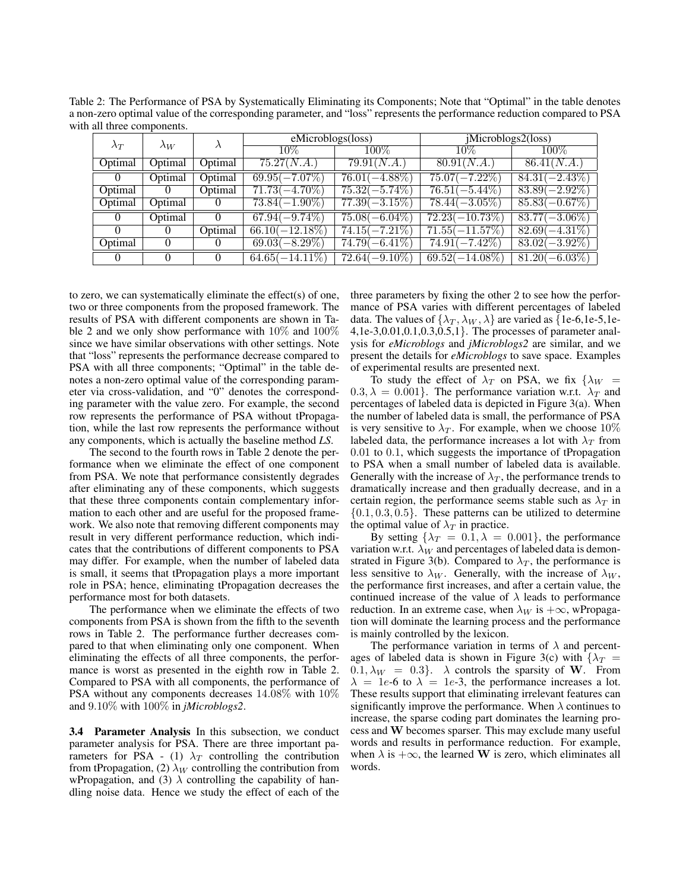Table 2: The Performance of PSA by Systematically Eliminating its Components; Note that "Optimal" in the table denotes a non-zero optimal value of the corresponding parameter, and "loss" represents the performance reduction compared to PSA with all three components.

| $\lambda_T$ | $\lambda_W$  |                | $\overline{eMicroblogs}$ (loss) |                  | jMicroblogs2 (loss) |                  |  |
|-------------|--------------|----------------|---------------------------------|------------------|---------------------|------------------|--|
|             |              |                | $10\%$                          | $100\%$          | $10\%$              | $100\%$          |  |
| Optimal     | Optimal      | Optimal        | 75.27(N.A.)                     | 79.91(N.A.)      | 80.91(N.A.)         | 86.41(N.A.)      |  |
| $\theta$    | Optimal      | <b>Optimal</b> | $69.95(-7.07%)$                 | $76.01(-4.88\%)$ | $75.07(-7.22\%)$    | $84.31(-2.43\%)$ |  |
| Optimal     | $\mathbf{U}$ | Optimal        | $71.73(-4.70\%)$                | $75.32(-5.74\%)$ | $76.51(-5.44\%)$    | $83.89(-2.92\%)$ |  |
| Optimal     | Optimal      |                | $73.84(-1.90\%)$                | $77.39(-3.15\%)$ | $78.44(-3.05\%)$    | $85.83(-0.67\%)$ |  |
| $\theta$    | Optimal      |                | $67.94(-9.74\%)$                | $75.08(-6.04\%)$ | $72.23(-10.73\%)$   | $83.77(-3.06\%)$ |  |
| $\theta$    |              | Optimal        | $66.10(-12.18\%)$               | $74.15(-7.21\%)$ | $71.55(-11.57%)$    | $82.69(-4.31\%)$ |  |
| Optimal     | $\theta$     | 0              | $69.03(-8.29\%)$                | $74.79(-6.41\%)$ | $74.91(-7.42\%)$    | $83.02(-3.92\%)$ |  |
|             |              | $\Omega$       | $64.65(-14.11\%)$               | $72.64(-9.10\%)$ | $69.52(-14.08\%)$   | $81.20(-6.03\%)$ |  |

to zero, we can systematically eliminate the effect(s) of one, two or three components from the proposed framework. The results of PSA with different components are shown in Table 2 and we only show performance with 10% and 100% since we have similar observations with other settings. Note that "loss" represents the performance decrease compared to PSA with all three components; "Optimal" in the table denotes a non-zero optimal value of the corresponding parameter via cross-validation, and "0" denotes the corresponding parameter with the value zero. For example, the second row represents the performance of PSA without tPropagation, while the last row represents the performance without any components, which is actually the baseline method *LS*.

The second to the fourth rows in Table 2 denote the performance when we eliminate the effect of one component from PSA. We note that performance consistently degrades after eliminating any of these components, which suggests that these three components contain complementary information to each other and are useful for the proposed framework. We also note that removing different components may result in very different performance reduction, which indicates that the contributions of different components to PSA may differ. For example, when the number of labeled data is small, it seems that tPropagation plays a more important role in PSA; hence, eliminating tPropagation decreases the performance most for both datasets.

The performance when we eliminate the effects of two components from PSA is shown from the fifth to the seventh rows in Table 2. The performance further decreases compared to that when eliminating only one component. When eliminating the effects of all three components, the performance is worst as presented in the eighth row in Table 2. Compared to PSA with all components, the performance of PSA without any components decreases 14.08% with 10% and 9.10% with 100% in *jMicroblogs2*.

**3.4 Parameter Analysis** In this subsection, we conduct parameter analysis for PSA. There are three important parameters for PSA - (1)  $\lambda_T$  controlling the contribution from tPropagation, (2)  $\lambda_W$  controlling the contribution from wPropagation, and (3)  $\lambda$  controlling the capability of handling noise data. Hence we study the effect of each of the

three parameters by fixing the other 2 to see how the performance of PSA varies with different percentages of labeled data. The values of  $\{\lambda_T, \lambda_W, \lambda\}$  are varied as  $\{1e-6, 1e-5, 1e-6\}$ 4,1e-3,0.01,0.1,0.3,0.5,1}. The processes of parameter analysis for *eMicroblogs* and *jMicroblogs2* are similar, and we present the details for *eMicroblogs* to save space. Examples of experimental results are presented next.

To study the effect of  $\lambda_T$  on PSA, we fix  $\{\lambda_W =$  $(0.3, \lambda = 0.001)$ . The performance variation w.r.t.  $\lambda_T$  and percentages of labeled data is depicted in Figure 3(a). When the number of labeled data is small, the performance of PSA is very sensitive to  $\lambda_T$ . For example, when we choose 10% labeled data, the performance increases a lot with  $\lambda_T$  from 0.01 to 0.1, which suggests the importance of tPropagation to PSA when a small number of labeled data is available. Generally with the increase of  $\lambda_T$ , the performance trends to dramatically increase and then gradually decrease, and in a certain region, the performance seems stable such as  $\lambda_T$  in  $\{0.1, 0.3, 0.5\}$ . These patterns can be utilized to determine the optimal value of  $\lambda_T$  in practice.

By setting  $\{\lambda_T = 0.1, \lambda = 0.001\}$ , the performance variation w.r.t.  $\lambda_W$  and percentages of labeled data is demonstrated in Figure 3(b). Compared to  $\lambda_T$ , the performance is less sensitive to  $\lambda_W$ . Generally, with the increase of  $\lambda_W$ , the performance first increases, and after a certain value, the continued increase of the value of  $\lambda$  leads to performance reduction. In an extreme case, when  $\lambda_W$  is  $+\infty$ , wPropagation will dominate the learning process and the performance is mainly controlled by the lexicon.

The performance variation in terms of  $\lambda$  and percentages of labeled data is shown in Figure 3(c) with  $\{\lambda_T =$  $0.1, \lambda_W = 0.3$ .  $\lambda$  controls the sparsity of W. From  $\lambda = 1e-6$  to  $\lambda = 1e-3$ , the performance increases a lot. These results support that eliminating irrelevant features can significantly improve the performance. When  $\lambda$  continues to increase, the sparse coding part dominates the learning process and W becomes sparser. This may exclude many useful words and results in performance reduction. For example, when  $\lambda$  is + $\infty$ , the learned **W** is zero, which eliminates all words.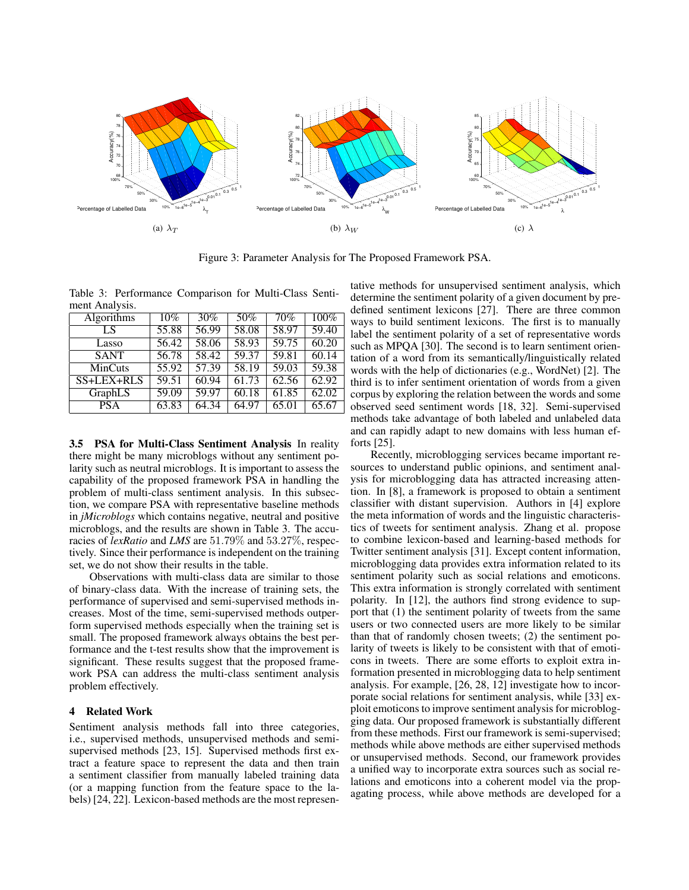

Figure 3: Parameter Analysis for The Proposed Framework PSA.

Table 3: Performance Comparison for Multi-Class Sentiment Analysis.

| <b>Algorithms</b> | 10%   | 30%   | 50%   | 70%   | $100\%$ |
|-------------------|-------|-------|-------|-------|---------|
| LS                | 55.88 | 56.99 | 58.08 | 58.97 | 59.40   |
| Lasso             | 56.42 | 58.06 | 58.93 | 59.75 | 60.20   |
| <b>SANT</b>       | 56.78 | 58.42 | 59.37 | 59.81 | 60.14   |
| <b>MinCuts</b>    | 55.92 | 57.39 | 58.19 | 59.03 | 59.38   |
| $SS+LEX+RLS$      | 59.51 | 60.94 | 61.73 | 62.56 | 62.92   |
| GraphLS           | 59.09 | 59.97 | 60.18 | 61.85 | 62.02   |
| <b>PSA</b>        | 63.83 | 64.34 | 64.97 | 65.01 | 65.67   |

**3.5 PSA for Multi-Class Sentiment Analysis** In reality there might be many microblogs without any sentiment polarity such as neutral microblogs. It is important to assess the capability of the proposed framework PSA in handling the problem of multi-class sentiment analysis. In this subsection, we compare PSA with representative baseline methods in *jMicroblogs* which contains negative, neutral and positive microblogs, and the results are shown in Table 3. The accuracies of *lexRatio* and *LMS* are 51.79% and 53.27%, respectively. Since their performance is independent on the training set, we do not show their results in the table.

Observations with multi-class data are similar to those of binary-class data. With the increase of training sets, the performance of supervised and semi-supervised methods increases. Most of the time, semi-supervised methods outperform supervised methods especially when the training set is small. The proposed framework always obtains the best performance and the t-test results show that the improvement is significant. These results suggest that the proposed framework PSA can address the multi-class sentiment analysis problem effectively.

# **4 Related Work**

Sentiment analysis methods fall into three categories, i.e., supervised methods, unsupervised methods and semisupervised methods [23, 15]. Supervised methods first extract a feature space to represent the data and then train a sentiment classifier from manually labeled training data (or a mapping function from the feature space to the labels) [24, 22]. Lexicon-based methods are the most represen-

tative methods for unsupervised sentiment analysis, which determine the sentiment polarity of a given document by predefined sentiment lexicons [27]. There are three common ways to build sentiment lexicons. The first is to manually label the sentiment polarity of a set of representative words such as MPQA [30]. The second is to learn sentiment orientation of a word from its semantically/linguistically related words with the help of dictionaries (e.g., WordNet) [2]. The third is to infer sentiment orientation of words from a given corpus by exploring the relation between the words and some observed seed sentiment words [18, 32]. Semi-supervised methods take advantage of both labeled and unlabeled data and can rapidly adapt to new domains with less human efforts [25].

Recently, microblogging services became important resources to understand public opinions, and sentiment analysis for microblogging data has attracted increasing attention. In [8], a framework is proposed to obtain a sentiment classifier with distant supervision. Authors in [4] explore the meta information of words and the linguistic characteristics of tweets for sentiment analysis. Zhang et al. propose to combine lexicon-based and learning-based methods for Twitter sentiment analysis [31]. Except content information, microblogging data provides extra information related to its sentiment polarity such as social relations and emoticons. This extra information is strongly correlated with sentiment polarity. In [12], the authors find strong evidence to support that (1) the sentiment polarity of tweets from the same users or two connected users are more likely to be similar than that of randomly chosen tweets; (2) the sentiment polarity of tweets is likely to be consistent with that of emoticons in tweets. There are some efforts to exploit extra information presented in microblogging data to help sentiment analysis. For example, [26, 28, 12] investigate how to incorporate social relations for sentiment analysis, while [33] exploit emoticons to improve sentiment analysis for microblogging data. Our proposed framework is substantially different from these methods. First our framework is semi-supervised; methods while above methods are either supervised methods or unsupervised methods. Second, our framework provides a unified way to incorporate extra sources such as social relations and emoticons into a coherent model via the propagating process, while above methods are developed for a